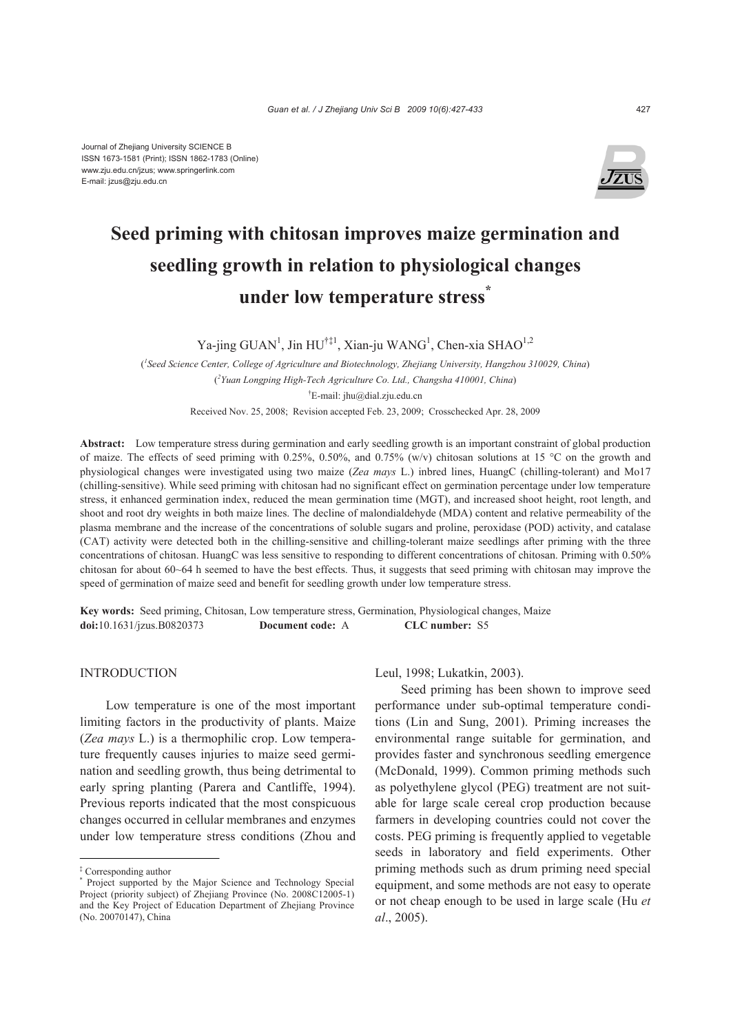

# **Seed priming with chitosan improves maize germination and seedling growth in relation to physiological changes under low temperature stress\***

Ya-jing GUAN<sup>1</sup>, Jin HU<sup>†‡1</sup>, Xian-ju WANG<sup>1</sup>, Chen-xia SHAO<sup>1,2</sup>

( *1 Seed Science Center, College of Agriculture and Biotechnology, Zhejiang University, Hangzhou 310029, China*) ( *2 Yuan Longping High-Tech Agriculture Co. Ltd., Changsha 410001, China*) † E-mail: jhu@dial.zju.edu.cn

Received Nov. 25, 2008; Revision accepted Feb. 23, 2009; Crosschecked Apr. 28, 2009

**Abstract:** Low temperature stress during germination and early seedling growth is an important constraint of global production of maize. The effects of seed priming with 0.25%, 0.50%, and 0.75% (w/v) chitosan solutions at 15 °C on the growth and physiological changes were investigated using two maize (*Zea mays* L.) inbred lines, HuangC (chilling-tolerant) and Mo17 (chilling-sensitive). While seed priming with chitosan had no significant effect on germination percentage under low temperature stress, it enhanced germination index, reduced the mean germination time (MGT), and increased shoot height, root length, and shoot and root dry weights in both maize lines. The decline of malondialdehyde (MDA) content and relative permeability of the plasma membrane and the increase of the concentrations of soluble sugars and proline, peroxidase (POD) activity, and catalase (CAT) activity were detected both in the chilling-sensitive and chilling-tolerant maize seedlings after priming with the three concentrations of chitosan. HuangC was less sensitive to responding to different concentrations of chitosan. Priming with 0.50% chitosan for about 60~64 h seemed to have the best effects. Thus, it suggests that seed priming with chitosan may improve the speed of germination of maize seed and benefit for seedling growth under low temperature stress.

**Key words:** Seed priming, Chitosan, Low temperature stress, Germination, Physiological changes, Maize **doi:**10.1631/jzus.B0820373 **Document code:** A **CLC number:** S5

# **INTRODUCTION**

Low temperature is one of the most important limiting factors in the productivity of plants. Maize (*Zea mays* L.) is a thermophilic crop. Low temperature frequently causes injuries to maize seed germination and seedling growth, thus being detrimental to early spring planting (Parera and Cantliffe, 1994). Previous reports indicated that the most conspicuous changes occurred in cellular membranes and enzymes under low temperature stress conditions (Zhou and Leul, 1998; Lukatkin, 2003).

Seed priming has been shown to improve seed performance under sub-optimal temperature conditions (Lin and Sung, 2001). Priming increases the environmental range suitable for germination, and provides faster and synchronous seedling emergence (McDonald, 1999). Common priming methods such as polyethylene glycol (PEG) treatment are not suitable for large scale cereal crop production because farmers in developing countries could not cover the costs. PEG priming is frequently applied to vegetable seeds in laboratory and field experiments. Other priming methods such as drum priming need special equipment, and some methods are not easy to operate or not cheap enough to be used in large scale (Hu *et al*., 2005).

<sup>‡</sup> Corresponding author

<sup>\*</sup> Project supported by the Major Science and Technology Special Project (priority subject) of Zhejiang Province (No. 2008C12005-1) and the Key Project of Education Department of Zhejiang Province (No. 20070147), China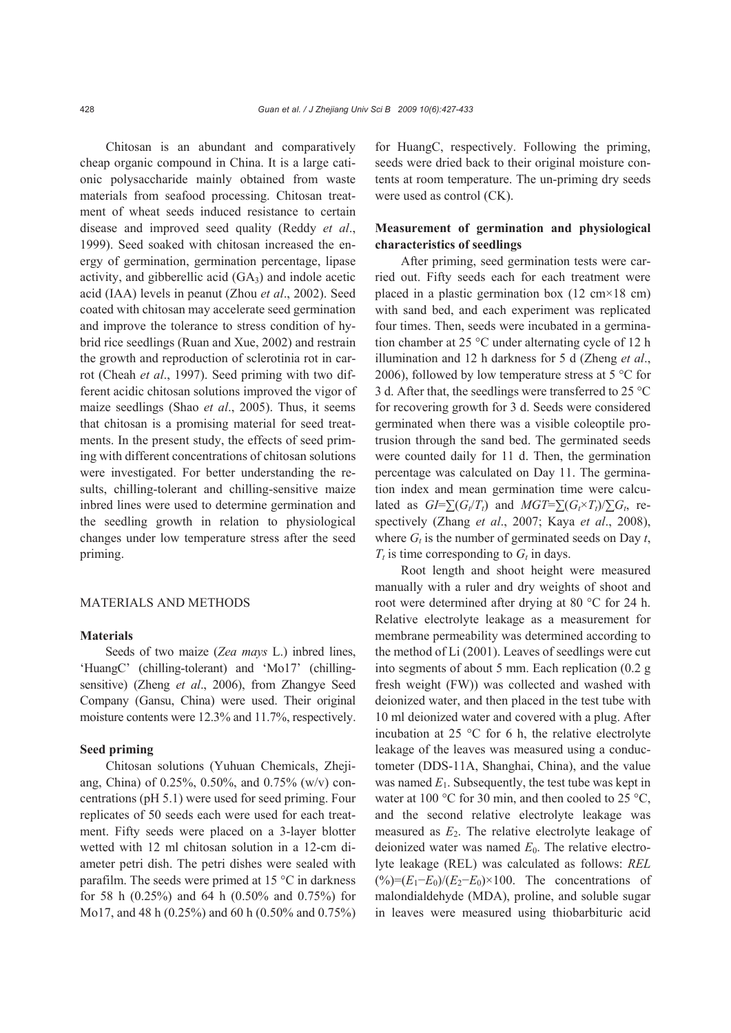Chitosan is an abundant and comparatively cheap organic compound in China. It is a large cationic polysaccharide mainly obtained from waste materials from seafood processing. Chitosan treatment of wheat seeds induced resistance to certain disease and improved seed quality (Reddy *et al*., 1999). Seed soaked with chitosan increased the energy of germination, germination percentage, lipase activity, and gibberellic acid  $(GA_3)$  and indole acetic acid (IAA) levels in peanut (Zhou *et al*., 2002). Seed coated with chitosan may accelerate seed germination and improve the tolerance to stress condition of hybrid rice seedlings (Ruan and Xue, 2002) and restrain the growth and reproduction of sclerotinia rot in carrot (Cheah *et al*., 1997). Seed priming with two different acidic chitosan solutions improved the vigor of maize seedlings (Shao *et al*., 2005). Thus, it seems that chitosan is a promising material for seed treatments. In the present study, the effects of seed priming with different concentrations of chitosan solutions were investigated. For better understanding the results, chilling-tolerant and chilling-sensitive maize inbred lines were used to determine germination and the seedling growth in relation to physiological changes under low temperature stress after the seed priming.

# MATERIALS AND METHODS

#### **Materials**

Seeds of two maize (*Zea mays* L.) inbred lines, 'HuangC' (chilling-tolerant) and 'Mo17' (chillingsensitive) (Zheng *et al*., 2006), from Zhangye Seed Company (Gansu, China) were used. Their original moisture contents were 12.3% and 11.7%, respectively.

#### **Seed priming**

Chitosan solutions (Yuhuan Chemicals, Zhejiang, China) of 0.25%, 0.50%, and 0.75% (w/v) concentrations (pH 5.1) were used for seed priming. Four replicates of 50 seeds each were used for each treatment. Fifty seeds were placed on a 3-layer blotter wetted with 12 ml chitosan solution in a 12-cm diameter petri dish. The petri dishes were sealed with parafilm. The seeds were primed at 15 °C in darkness for 58 h (0.25%) and 64 h (0.50% and 0.75%) for Mo17, and 48 h (0.25%) and 60 h (0.50% and 0.75%) for HuangC, respectively. Following the priming, seeds were dried back to their original moisture contents at room temperature. The un-priming dry seeds were used as control (CK).

# **Measurement of germination and physiological characteristics of seedlings**

After priming, seed germination tests were carried out. Fifty seeds each for each treatment were placed in a plastic germination box  $(12 \text{ cm} \times 18 \text{ cm})$ with sand bed, and each experiment was replicated four times. Then, seeds were incubated in a germination chamber at 25 °C under alternating cycle of 12 h illumination and 12 h darkness for 5 d (Zheng *et al*., 2006), followed by low temperature stress at 5  $\degree$ C for 3 d. After that, the seedlings were transferred to 25 °C for recovering growth for 3 d. Seeds were considered germinated when there was a visible coleoptile protrusion through the sand bed. The germinated seeds were counted daily for 11 d. Then, the germination percentage was calculated on Day 11. The germination index and mean germination time were calculated as  $GI=\sum(G_t/T_t)$  and  $MGT=\sum(G_t \times T_t)/\sum G_t$ , respectively (Zhang *et al*., 2007; Kaya *et al*., 2008), where  $G_t$  is the number of germinated seeds on Day  $t$ ,  $T_t$  is time corresponding to  $G_t$  in days.

Root length and shoot height were measured manually with a ruler and dry weights of shoot and root were determined after drying at 80 °C for 24 h. Relative electrolyte leakage as a measurement for membrane permeability was determined according to the method of Li (2001). Leaves of seedlings were cut into segments of about 5 mm. Each replication (0.2 g fresh weight (FW)) was collected and washed with deionized water, and then placed in the test tube with 10 ml deionized water and covered with a plug. After incubation at 25 °C for 6 h, the relative electrolyte leakage of the leaves was measured using a conductometer (DDS-11A, Shanghai, China), and the value was named  $E_1$ . Subsequently, the test tube was kept in water at 100 °C for 30 min, and then cooled to 25 °C, and the second relative electrolyte leakage was measured as *E*2. The relative electrolyte leakage of deionized water was named *E*0. The relative electrolyte leakage (REL) was calculated as follows: *REL*  $(%)=(E_1-E_0)/(E_2-E_0) \times 100$ . The concentrations of malondialdehyde (MDA), proline, and soluble sugar in leaves were measured using thiobarbituric acid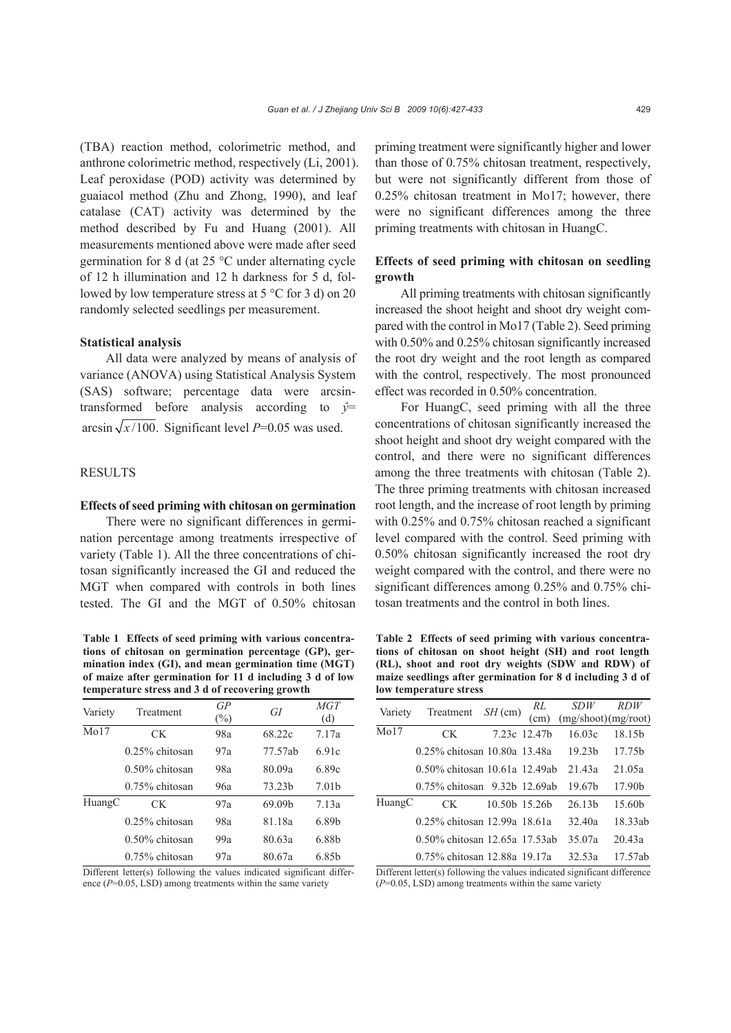(TBA) reaction method, colorimetric method, and anthrone colorimetric method, respectively (Li, 2001). Leaf peroxidase (POD) activity was determined by guaiacol method (Zhu and Zhong, 1990), and leaf catalase (CAT) activity was determined by the method described by Fu and Huang (2001). All measurements mentioned above were made after seed germination for 8 d (at 25 °C under alternating cycle of 12 h illumination and 12 h darkness for 5 d, followed by low temperature stress at 5 °C for 3 d) on 20 randomly selected seedlings per measurement.

## **Statistical analysis**

All data were analyzed by means of analysis of variance (ANOVA) using Statistical Analysis System (SAS) software; percentage data were arcsintransformed before analysis according to *ŷ*= arcsin  $\sqrt{x/100}$ . Significant level *P*=0.05 was used.

# RESULTS

#### **Effects of seed priming with chitosan on germination**

There were no significant differences in germination percentage among treatments irrespective of variety (Table 1). All the three concentrations of chitosan significantly increased the GI and reduced the MGT when compared with controls in both lines tested. The GI and the MGT of 0.50% chitosan

**Table 1 Effects of seed priming with various concentrations of chitosan on germination percentage (GP), germination index (GI), and mean germination time (MGT) of maize after germination for 11 d including 3 d of low temperature stress and 3 d of recovering growth**

| Variety | Treatment         | GP<br>$(\%)$ | GI                 | <b>MGT</b><br>(d) |
|---------|-------------------|--------------|--------------------|-------------------|
| Mo17    | <b>CK</b>         | 98a          | 68.22c             | 7.17a             |
|         | 0.25% chitosan    | 97a          | 77.57ab            | 6.91c             |
|         | $0.50\%$ chitosan | 98a          | 80.09a             | 6.89c             |
|         | 0.75% chitosan    | 96a          | 73.23 <sub>h</sub> | 7.01 <sub>b</sub> |
| HuangC  | CK.               | 97a          | 69.09 <sub>b</sub> | 7.13a             |
|         | $0.25\%$ chitosan | 98a          | 81.18a             | 6.89b             |
|         | $0.50\%$ chitosan | 99a          | 80.63a             | 6.88b             |
|         | $0.75\%$ chitosan | 97a          | 80.67a             | 6.85b             |

Different letter(s) following the values indicated significant difference  $(P=0.05, LSD)$  among treatments within the same variety

priming treatment were significantly higher and lower than those of 0.75% chitosan treatment, respectively, but were not significantly different from those of 0.25% chitosan treatment in Mo17; however, there were no significant differences among the three priming treatments with chitosan in HuangC.

# **Effects of seed priming with chitosan on seedling growth**

All priming treatments with chitosan significantly increased the shoot height and shoot dry weight compared with the control in Mo17 (Table 2). Seed priming with 0.50% and 0.25% chitosan significantly increased the root dry weight and the root length as compared with the control, respectively. The most pronounced effect was recorded in 0.50% concentration.

For HuangC, seed priming with all the three concentrations of chitosan significantly increased the shoot height and shoot dry weight compared with the control, and there were no significant differences among the three treatments with chitosan (Table 2). The three priming treatments with chitosan increased root length, and the increase of root length by priming with 0.25% and 0.75% chitosan reached a significant level compared with the control. Seed priming with 0.50% chitosan significantly increased the root dry weight compared with the control, and there were no significant differences among 0.25% and 0.75% chitosan treatments and the control in both lines.

**Table 2 Effects of seed priming with various concentrations of chitosan on shoot height (SH) and root length (RL), shoot and root dry weights (SDW and RDW) of maize seedlings after germination for 8 d including 3 d of low temperature stress**

| Variety | Treatment                     | $SH$ (cm)       | RL<br>(cm)   | SDW<br>(mg/shoot)(mg/root) | <i>RDW</i> |
|---------|-------------------------------|-----------------|--------------|----------------------------|------------|
| Mo17    | CK.                           |                 | 7.23c 12.47b | 16.03c                     | 18.15b     |
|         | 0.25% chitosan 10.80a 13.48a  |                 |              | 19.23 <sub>b</sub>         | 17.75b     |
|         | 0.50% chitosan 10.61a 12.49ab |                 |              | 21.43a                     | 21.05a     |
|         | 0.75% chitosan 9.32b 12.69ab  |                 |              | 19.67 <sub>b</sub>         | 17.90b     |
| HuangC  | CK.                           | $10.50h$ 15.26b |              | 26.13 <sub>b</sub>         | 15.60b     |
|         | 0.25% chitosan 12.99a 18.61a  |                 |              | 32.40a                     | 18.33ab    |
|         | 0.50% chitosan 12.65a 17.53ab |                 |              | 35.07a                     | 20.43a     |
|         | 0.75% chitosan 12.88a 19.17a  |                 |              | 32.53a                     | 17.57ab    |

Different letter(s) following the values indicated significant difference (*P*=0.05, LSD) among treatments within the same variety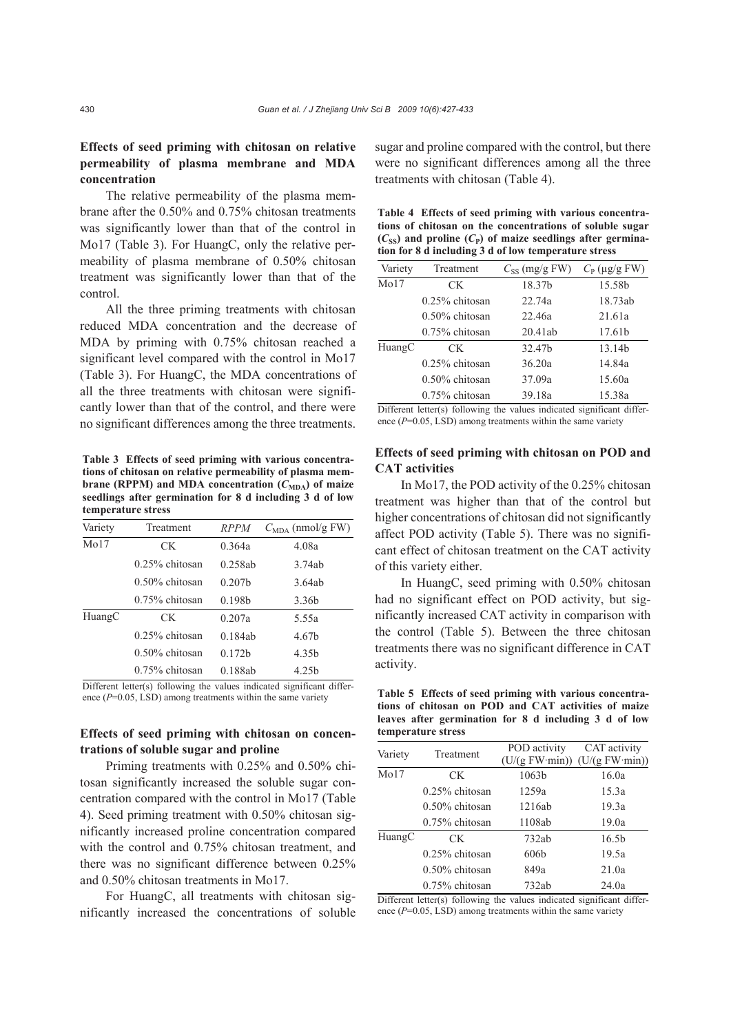# **Effects of seed priming with chitosan on relative permeability of plasma membrane and MDA concentration**

The relative permeability of the plasma membrane after the 0.50% and 0.75% chitosan treatments was significantly lower than that of the control in Mo17 (Table 3). For HuangC, only the relative permeability of plasma membrane of 0.50% chitosan treatment was significantly lower than that of the control.

All the three priming treatments with chitosan reduced MDA concentration and the decrease of MDA by priming with 0.75% chitosan reached a significant level compared with the control in Mo17 (Table 3). For HuangC, the MDA concentrations of all the three treatments with chitosan were significantly lower than that of the control, and there were no significant differences among the three treatments.

**Table 3 Effects of seed priming with various concentrations of chitosan on relative permeability of plasma mem**brane (RPPM) and MDA concentration  $(C_{MDA})$  of maize **seedlings after germination for 8 d including 3 d of low temperature stress**

| Variety | Treatment         | <b>RPPM</b>        | $C_{MDA}$ (nmol/g FW) |
|---------|-------------------|--------------------|-----------------------|
| Mo17    | СK                | 0.364a             | 4.08a                 |
|         | $0.25\%$ chitosan | 0.258ab            | 3.74ab                |
|         | $0.50\%$ chitosan | 0.207 <sub>b</sub> | 3.64ab                |
|         | $0.75\%$ chitosan | 0.198 <sub>b</sub> | 3.36b                 |
| HuangC  | СK                | 0.207a             | 5.55a                 |
|         | $0.25\%$ chitosan | 0.184ab            | 4.67b                 |
|         | $0.50\%$ chitosan | 0.172 <sub>b</sub> | 4.35b                 |
|         | $0.75\%$ chitosan | 0.188ab            | 4.25b                 |

Different letter(s) following the values indicated significant difference ( $P=0.05$ , LSD) among treatments within the same variety

# **Effects of seed priming with chitosan on concentrations of soluble sugar and proline**

Priming treatments with 0.25% and 0.50% chitosan significantly increased the soluble sugar concentration compared with the control in Mo17 (Table 4). Seed priming treatment with 0.50% chitosan significantly increased proline concentration compared with the control and 0.75% chitosan treatment, and there was no significant difference between 0.25% and 0.50% chitosan treatments in Mo17.

For HuangC, all treatments with chitosan significantly increased the concentrations of soluble sugar and proline compared with the control, but there were no significant differences among all the three treatments with chitosan (Table 4).

| Table 4 Effects of seed priming with various concentra-                    |
|----------------------------------------------------------------------------|
| tions of chitosan on the concentrations of soluble sugar                   |
| $(C_{\rm ss})$ and proline $(C_{\rm P})$ of maize seedlings after germina- |
| tion for 8 d including 3 d of low temperature stress                       |

| Variety | Treatment         | $C_{SS}$ (mg/g FW) | $C_{P}$ (µg/g FW)  |
|---------|-------------------|--------------------|--------------------|
| Mo17    | CK.               | 18.37 <sub>b</sub> | 15.58b             |
|         | 0.25% chitosan    | 22.74a             | 18.73ab            |
|         | $0.50\%$ chitosan | 22.46a             | 21.61a             |
|         | $0.75\%$ chitosan | 20.41ab            | 17.61b             |
| HuangC  | CК                | 32.47 <sub>b</sub> | 13.14 <sub>b</sub> |
|         | $0.25\%$ chitosan | 36.20a             | 14.84a             |
|         | $0.50\%$ chitosan | 37.09a             | 15.60a             |
|         | $0.75\%$ chitosan | 39.18a             | 15.38a             |

Different letter(s) following the values indicated significant difference ( $P=0.05$ , LSD) among treatments within the same variety

# **Effects of seed priming with chitosan on POD and CAT activities**

In Mo17, the POD activity of the 0.25% chitosan treatment was higher than that of the control but higher concentrations of chitosan did not significantly affect POD activity (Table 5). There was no significant effect of chitosan treatment on the CAT activity of this variety either.

In HuangC, seed priming with 0.50% chitosan had no significant effect on POD activity, but significantly increased CAT activity in comparison with the control (Table 5). Between the three chitosan treatments there was no significant difference in CAT activity.

**Table 5 Effects of seed priming with various concentrations of chitosan on POD and CAT activities of maize leaves after germination for 8 d including 3 d of low temperature stress**

|         | Treatment         | POD activity     | CAT activity                        |
|---------|-------------------|------------------|-------------------------------------|
| Variety |                   |                  | $(U/(g F W·min))$ $(U/(g F W·min))$ |
| Mo17    | CK.               | 1063b            | 16.0a                               |
|         | $0.25\%$ chitosan | 1259a            | 15.3a                               |
|         | $0.50\%$ chitosan | 1216ab           | 19.3a                               |
|         | 0.75% chitosan    | 1108ab           | 19.0a                               |
| HuangC  | CK.               | 732ab            | 16.5 <sub>b</sub>                   |
|         | $0.25\%$ chitosan | 606 <sub>b</sub> | 19.5a                               |
|         | $0.50\%$ chitosan | 849a             | 21.0a                               |
|         | $0.75\%$ chitosan | 732ab            | 24.0a                               |

Different letter(s) following the values indicated significant difference  $(P=0.05, LSD)$  among treatments within the same variety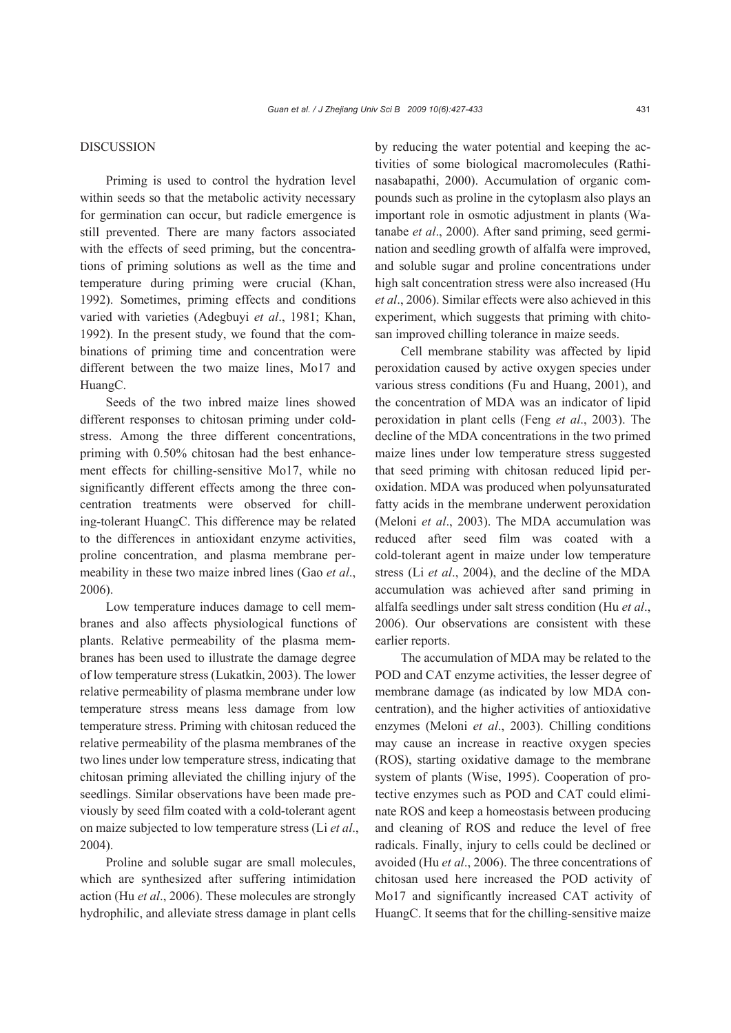## DISCUSSION

Priming is used to control the hydration level within seeds so that the metabolic activity necessary for germination can occur, but radicle emergence is still prevented. There are many factors associated with the effects of seed priming, but the concentrations of priming solutions as well as the time and temperature during priming were crucial (Khan, 1992). Sometimes, priming effects and conditions varied with varieties (Adegbuyi *et al*., 1981; Khan, 1992). In the present study, we found that the combinations of priming time and concentration were different between the two maize lines, Mo17 and HuangC.

Seeds of the two inbred maize lines showed different responses to chitosan priming under coldstress. Among the three different concentrations, priming with 0.50% chitosan had the best enhancement effects for chilling-sensitive Mo17, while no significantly different effects among the three concentration treatments were observed for chilling-tolerant HuangC. This difference may be related to the differences in antioxidant enzyme activities, proline concentration, and plasma membrane permeability in these two maize inbred lines (Gao *et al*., 2006).

Low temperature induces damage to cell membranes and also affects physiological functions of plants. Relative permeability of the plasma membranes has been used to illustrate the damage degree of low temperature stress (Lukatkin, 2003). The lower relative permeability of plasma membrane under low temperature stress means less damage from low temperature stress. Priming with chitosan reduced the relative permeability of the plasma membranes of the two lines under low temperature stress, indicating that chitosan priming alleviated the chilling injury of the seedlings. Similar observations have been made previously by seed film coated with a cold-tolerant agent on maize subjected to low temperature stress (Li *et al*., 2004).

Proline and soluble sugar are small molecules, which are synthesized after suffering intimidation action (Hu *et al*., 2006). These molecules are strongly hydrophilic, and alleviate stress damage in plant cells by reducing the water potential and keeping the activities of some biological macromolecules (Rathinasabapathi, 2000). Accumulation of organic compounds such as proline in the cytoplasm also plays an important role in osmotic adjustment in plants (Watanabe *et al*., 2000). After sand priming, seed germination and seedling growth of alfalfa were improved, and soluble sugar and proline concentrations under high salt concentration stress were also increased (Hu *et al*., 2006). Similar effects were also achieved in this experiment, which suggests that priming with chitosan improved chilling tolerance in maize seeds.

Cell membrane stability was affected by lipid peroxidation caused by active oxygen species under various stress conditions (Fu and Huang, 2001), and the concentration of MDA was an indicator of lipid peroxidation in plant cells (Feng *et al*., 2003). The decline of the MDA concentrations in the two primed maize lines under low temperature stress suggested that seed priming with chitosan reduced lipid peroxidation. MDA was produced when polyunsaturated fatty acids in the membrane underwent peroxidation (Meloni *et al*., 2003). The MDA accumulation was reduced after seed film was coated with a cold-tolerant agent in maize under low temperature stress (Li *et al*., 2004), and the decline of the MDA accumulation was achieved after sand priming in alfalfa seedlings under salt stress condition (Hu *et al*., 2006). Our observations are consistent with these earlier reports.

The accumulation of MDA may be related to the POD and CAT enzyme activities, the lesser degree of membrane damage (as indicated by low MDA concentration), and the higher activities of antioxidative enzymes (Meloni *et al*., 2003). Chilling conditions may cause an increase in reactive oxygen species (ROS), starting oxidative damage to the membrane system of plants (Wise, 1995). Cooperation of protective enzymes such as POD and CAT could eliminate ROS and keep a homeostasis between producing and cleaning of ROS and reduce the level of free radicals. Finally, injury to cells could be declined or avoided (Hu *et al*., 2006). The three concentrations of chitosan used here increased the POD activity of Mo17 and significantly increased CAT activity of HuangC. It seems that for the chilling-sensitive maize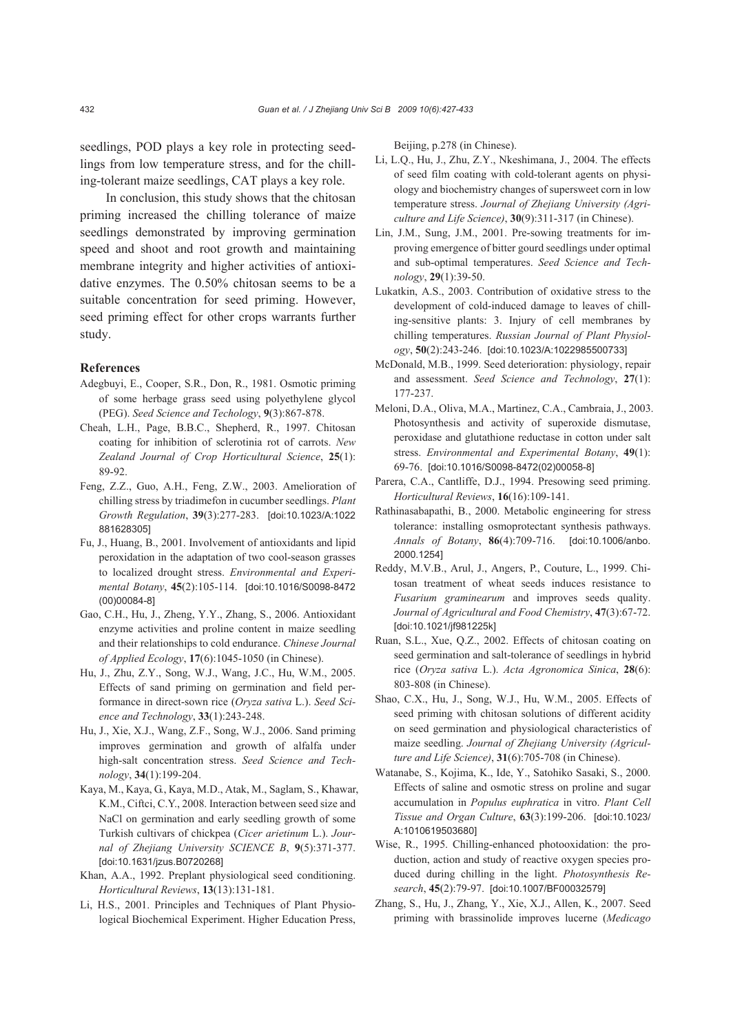seedlings, POD plays a key role in protecting seedlings from low temperature stress, and for the chilling-tolerant maize seedlings, CAT plays a key role.

In conclusion, this study shows that the chitosan priming increased the chilling tolerance of maize seedlings demonstrated by improving germination speed and shoot and root growth and maintaining membrane integrity and higher activities of antioxidative enzymes. The 0.50% chitosan seems to be a suitable concentration for seed priming. However, seed priming effect for other crops warrants further study.

## **References**

- Adegbuyi, E., Cooper, S.R., Don, R., 1981. Osmotic priming of some herbage grass seed using polyethylene glycol (PEG). *Seed Science and Techology*, **9**(3):867-878.
- Cheah, L.H., Page, B.B.C., Shepherd, R., 1997. Chitosan coating for inhibition of sclerotinia rot of carrots. *New Zealand Journal of Crop Horticultural Science*, **25**(1): 89-92.
- Feng, Z.Z., Guo, A.H., Feng, Z.W., 2003. Amelioration of chilling stress by triadimefon in cucumber seedlings. *Plant Growth Regulation*, **39**(3):277-283. [doi:10.1023/A:1022 881628305]
- Fu, J., Huang, B., 2001. Involvement of antioxidants and lipid peroxidation in the adaptation of two cool-season grasses to localized drought stress. *Environmental and Experimental Botany*, **45**(2):105-114. [doi:10.1016/S0098-8472 (00)00084-8]
- Gao, C.H., Hu, J., Zheng, Y.Y., Zhang, S., 2006. Antioxidant enzyme activities and proline content in maize seedling and their relationships to cold endurance. *Chinese Journal of Applied Ecology*, **17**(6):1045-1050 (in Chinese).
- Hu, J., Zhu, Z.Y., Song, W.J., Wang, J.C., Hu, W.M., 2005. Effects of sand priming on germination and field performance in direct-sown rice (*Oryza sativa* L.). *Seed Science and Technology*, **33**(1):243-248.
- Hu, J., Xie, X.J., Wang, Z.F., Song, W.J., 2006. Sand priming improves germination and growth of alfalfa under high-salt concentration stress. *Seed Science and Technology*, **34**(1):199-204.
- Kaya, M., Kaya, G., Kaya, M.D., Atak, M., Saglam, S., Khawar, K.M., Ciftci, C.Y., 2008. Interaction between seed size and NaCl on germination and early seedling growth of some Turkish cultivars of chickpea (*Cicer arietinum* L.). *Journal of Zhejiang University SCIENCE B*, **9**(5):371-377. [doi:10.1631/jzus.B0720268]
- Khan, A.A., 1992. Preplant physiological seed conditioning. *Horticultural Reviews*, **13**(13):131-181.
- Li, H.S., 2001. Principles and Techniques of Plant Physiological Biochemical Experiment. Higher Education Press,

Beijing, p.278 (in Chinese).

- Li, L.Q., Hu, J., Zhu, Z.Y., Nkeshimana, J., 2004. The effects of seed film coating with cold-tolerant agents on physiology and biochemistry changes of supersweet corn in low temperature stress. *Journal of Zhejiang University (Agriculture and Life Science)*, **30**(9):311-317 (in Chinese).
- Lin, J.M., Sung, J.M., 2001. Pre-sowing treatments for improving emergence of bitter gourd seedlings under optimal and sub-optimal temperatures. *Seed Science and Technology*, **29**(1):39-50.
- Lukatkin, A.S., 2003. Contribution of oxidative stress to the development of cold-induced damage to leaves of chilling-sensitive plants: 3. Injury of cell membranes by chilling temperatures. *Russian Journal of Plant Physiology*, **50**(2):243-246. [doi:10.1023/A:1022985500733]
- McDonald, M.B., 1999. Seed deterioration: physiology, repair and assessment. *Seed Science and Technology*, **27**(1): 177-237.
- Meloni, D.A., Oliva, M.A., Martinez, C.A., Cambraia, J., 2003. Photosynthesis and activity of superoxide dismutase, peroxidase and glutathione reductase in cotton under salt stress. *Environmental and Experimental Botany*, **49**(1): 69-76. [doi:10.1016/S0098-8472(02)00058-8]
- Parera, C.A., Cantliffe, D.J., 1994. Presowing seed priming. *Horticultural Reviews*, **16**(16):109-141.
- Rathinasabapathi, B., 2000. Metabolic engineering for stress tolerance: installing osmoprotectant synthesis pathways. *Annals of Botany*, **86**(4):709-716. [doi:10.1006/anbo. 2000.1254]
- Reddy, M.V.B., Arul, J., Angers, P., Couture, L., 1999. Chitosan treatment of wheat seeds induces resistance to *Fusarium graminearum* and improves seeds quality. *Journal of Agricultural and Food Chemistry*, **47**(3):67-72. [doi:10.1021/jf981225k]
- Ruan, S.L., Xue, Q.Z., 2002. Effects of chitosan coating on seed germination and salt-tolerance of seedlings in hybrid rice (*Oryza sativa* L.). *Acta Agronomica Sinica*, **28**(6): 803-808 (in Chinese).
- Shao, C.X., Hu, J., Song, W.J., Hu, W.M., 2005. Effects of seed priming with chitosan solutions of different acidity on seed germination and physiological characteristics of maize seedling. *Journal of Zhejiang University (Agriculture and Life Science)*, **31**(6):705-708 (in Chinese).
- Watanabe, S., Kojima, K., Ide, Y., Satohiko Sasaki, S., 2000. Effects of saline and osmotic stress on proline and sugar accumulation in *Populus euphratica* in vitro. *Plant Cell Tissue and Organ Culture*, **63**(3):199-206. [doi:10.1023/ A:1010619503680]
- Wise, R., 1995. Chilling-enhanced photooxidation: the production, action and study of reactive oxygen species produced during chilling in the light. *Photosynthesis Research*, **45**(2):79-97. [doi:10.1007/BF00032579]
- Zhang, S., Hu, J., Zhang, Y., Xie, X.J., Allen, K., 2007. Seed priming with brassinolide improves lucerne (*Medicago*